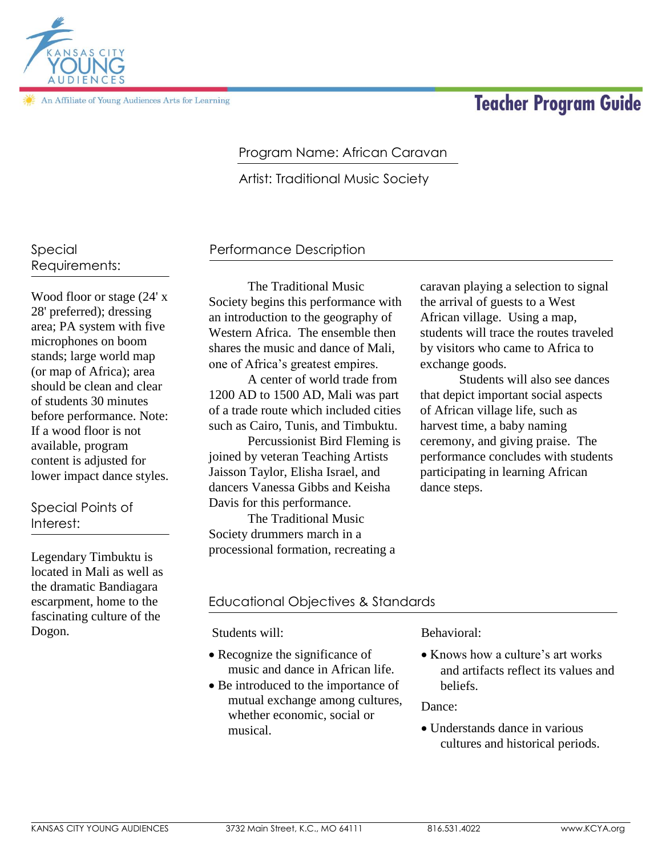# **Teacher Program Guide**



In Affiliate of Young Audiences Arts for Learning

## Program Name: African Caravan

Artist: Traditional Music Society

## Special Requirements:

Wood floor or stage (24' x 28' preferred); dressing area; PA system with five microphones on boom stands; large world map (or map of Africa); area should be clean and clear of students 30 minutes before performance. Note: If a wood floor is not available, program content is adjusted for lower impact dance styles.

## Special Points of Interest:

Legendary Timbuktu is located in Mali as well as the dramatic Bandiagara escarpment, home to the fascinating culture of the Dogon.

## Performance Description

The Traditional Music Society begins this performance with an introduction to the geography of Western Africa. The ensemble then shares the music and dance of Mali, one of Africa's greatest empires.

A center of world trade from 1200 AD to 1500 AD, Mali was part of a trade route which included cities such as Cairo, Tunis, and Timbuktu.

Percussionist Bird Fleming is joined by veteran Teaching Artists Jaisson Taylor, Elisha Israel, and dancers Vanessa Gibbs and Keisha Davis for this performance.

The Traditional Music Society drummers march in a processional formation, recreating a caravan playing a selection to signal the arrival of guests to a West African village. Using a map, students will trace the routes traveled by visitors who came to Africa to exchange goods.

Students will also see dances that depict important social aspects of African village life, such as harvest time, a baby naming ceremony, and giving praise. The performance concludes with students participating in learning African dance steps.

## Educational Objectives & Standards

Students will:

- Recognize the significance of music and dance in African life.
- Be introduced to the importance of mutual exchange among cultures, whether economic, social or musical.

#### Behavioral:

• Knows how a culture's art works and artifacts reflect its values and beliefs.

Dance:

 Understands dance in various cultures and historical periods.